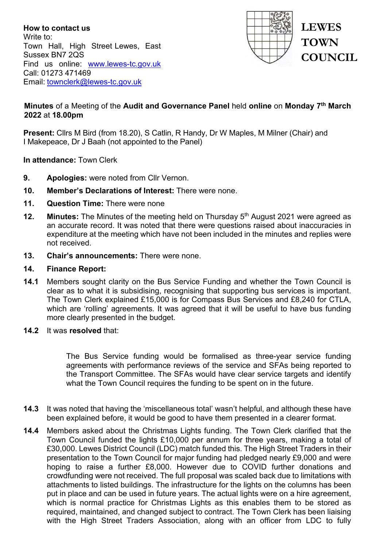**How to contact us** Write to: Town Hall, High Street Lewes, East Sussex BN7 2QS Find us online: [www.lewes-tc.gov.uk](http://www.lewes-tc.gov.uk/) Call: 01273 471469 Email: [townclerk@lewes-tc.gov.uk](mailto:townclerk@lewes-tc.gov.uk)



## **Minutes** of a Meeting of the **Audit and Governance Panel** held **online** on **Monday 7th March 2022** at **18.00pm**

**Present:** Cllrs M Bird (from 18.20), S Catlin, R Handy, Dr W Maples, M Milner (Chair) and I Makepeace, Dr J Baah (not appointed to the Panel)

**In attendance:** Town Clerk

- **9. Apologies:** were noted from Cllr Vernon.
- **10. Member's Declarations of Interest:** There were none.
- **11. Question Time:** There were none
- **12. Minutes:** The Minutes of the meeting held on Thursday 5<sup>th</sup> August 2021 were agreed as an accurate record. It was noted that there were questions raised about inaccuracies in expenditure at the meeting which have not been included in the minutes and replies were not received.
- **13. Chair's announcements:** There were none.

#### **14. Finance Report:**

- **14.1** Members sought clarity on the Bus Service Funding and whether the Town Council is clear as to what it is subsidising, recognising that supporting bus services is important. The Town Clerk explained £15,000 is for Compass Bus Services and £8,240 for CTLA, which are 'rolling' agreements. It was agreed that it will be useful to have bus funding more clearly presented in the budget.
- **14.2** It was **resolved** that:

The Bus Service funding would be formalised as three-year service funding agreements with performance reviews of the service and SFAs being reported to the Transport Committee. The SFAs would have clear service targets and identify what the Town Council requires the funding to be spent on in the future.

- **14.3** It was noted that having the 'miscellaneous total' wasn't helpful, and although these have been explained before, it would be good to have them presented in a clearer format.
- **14.4** Members asked about the Christmas Lights funding. The Town Clerk clarified that the Town Council funded the lights £10,000 per annum for three years, making a total of £30,000. Lewes District Council (LDC) match funded this. The High Street Traders in their presentation to the Town Council for major funding had pledged nearly £9,000 and were hoping to raise a further £8,000. However due to COVID further donations and crowdfunding were not received. The full proposal was scaled back due to limitations with attachments to listed buildings. The infrastructure for the lights on the columns has been put in place and can be used in future years. The actual lights were on a hire agreement, which is normal practice for Christmas Lights as this enables them to be stored as required, maintained, and changed subject to contract. The Town Clerk has been liaising with the High Street Traders Association, along with an officer from LDC to fully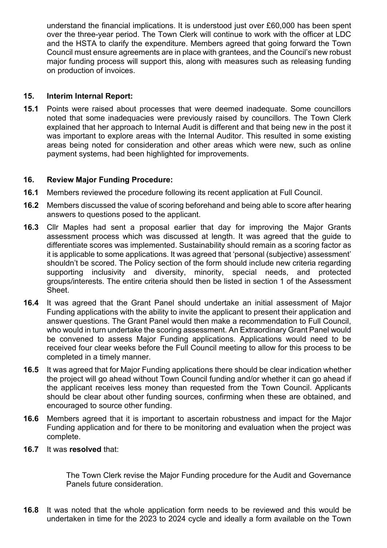understand the financial implications. It is understood just over £60,000 has been spent over the three-year period. The Town Clerk will continue to work with the officer at LDC and the HSTA to clarify the expenditure. Members agreed that going forward the Town Council must ensure agreements are in place with grantees, and the Council's new robust major funding process will support this, along with measures such as releasing funding on production of invoices.

# **15. Interim Internal Report:**

**15.1** Points were raised about processes that were deemed inadequate. Some councillors noted that some inadequacies were previously raised by councillors. The Town Clerk explained that her approach to Internal Audit is different and that being new in the post it was important to explore areas with the Internal Auditor. This resulted in some existing areas being noted for consideration and other areas which were new, such as online payment systems, had been highlighted for improvements.

## **16. Review Major Funding Procedure:**

- **16.1** Members reviewed the procedure following its recent application at Full Council.
- **16.2** Members discussed the value of scoring beforehand and being able to score after hearing answers to questions posed to the applicant.
- **16.3** Cllr Maples had sent a proposal earlier that day for improving the Major Grants assessment process which was discussed at length. It was agreed that the guide to differentiate scores was implemented. Sustainability should remain as a scoring factor as it is applicable to some applications. It was agreed that 'personal (subjective) assessment' shouldn't be scored. The Policy section of the form should include new criteria regarding supporting inclusivity and diversity, minority, special needs, and protected groups/interests. The entire criteria should then be listed in section 1 of the Assessment Sheet.
- **16.4** It was agreed that the Grant Panel should undertake an initial assessment of Major Funding applications with the ability to invite the applicant to present their application and answer questions. The Grant Panel would then make a recommendation to Full Council, who would in turn undertake the scoring assessment. An Extraordinary Grant Panel would be convened to assess Major Funding applications. Applications would need to be received four clear weeks before the Full Council meeting to allow for this process to be completed in a timely manner.
- **16.5** It was agreed that for Major Funding applications there should be clear indication whether the project will go ahead without Town Council funding and/or whether it can go ahead if the applicant receives less money than requested from the Town Council. Applicants should be clear about other funding sources, confirming when these are obtained, and encouraged to source other funding.
- **16.6** Members agreed that it is important to ascertain robustness and impact for the Major Funding application and for there to be monitoring and evaluation when the project was complete.
- **16.7** It was **resolved** that:

The Town Clerk revise the Major Funding procedure for the Audit and Governance Panels future consideration.

**16.8** It was noted that the whole application form needs to be reviewed and this would be undertaken in time for the 2023 to 2024 cycle and ideally a form available on the Town